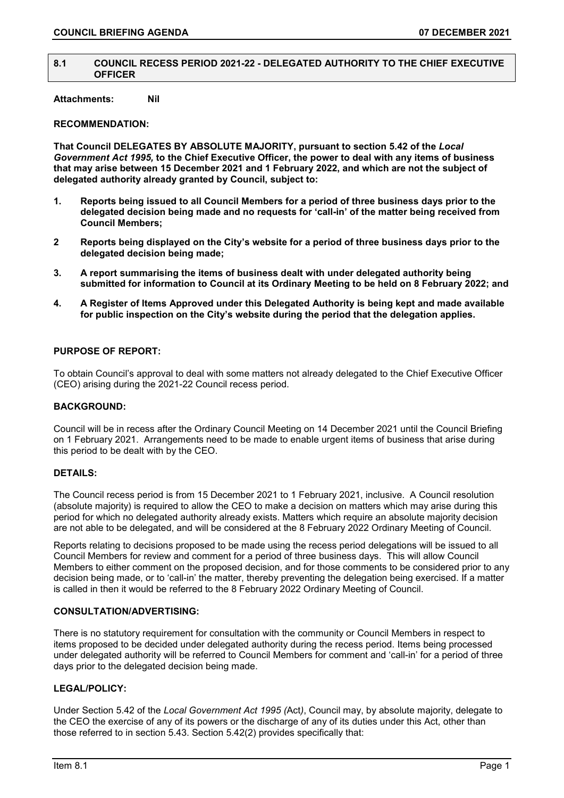### **8.1 COUNCIL RECESS PERIOD 2021-22 - DELEGATED AUTHORITY TO THE CHIEF EXECUTIVE OFFICER**

# **Attachments: Nil**

# **RECOMMENDATION:**

**That Council DELEGATES BY ABSOLUTE MAJORITY, pursuant to section 5.42 of the** *Local Government Act 1995,* **to the Chief Executive Officer, the power to deal with any items of business that may arise between 15 December 2021 and 1 February 2022, and which are not the subject of delegated authority already granted by Council, subject to:**

- **1. Reports being issued to all Council Members for a period of three business days prior to the delegated decision being made and no requests for 'call-in' of the matter being received from Council Members;**
- **2 Reports being displayed on the City's website for a period of three business days prior to the delegated decision being made;**
- **3. A report summarising the items of business dealt with under delegated authority being submitted for information to Council at its Ordinary Meeting to be held on 8 February 2022; and**
- **4. A Register of Items Approved under this Delegated Authority is being kept and made available for public inspection on the City's website during the period that the delegation applies.**

# **PURPOSE OF REPORT:**

To obtain Council's approval to deal with some matters not already delegated to the Chief Executive Officer (CEO) arising during the 2021-22 Council recess period.

### **BACKGROUND:**

Council will be in recess after the Ordinary Council Meeting on 14 December 2021 until the Council Briefing on 1 February 2021. Arrangements need to be made to enable urgent items of business that arise during this period to be dealt with by the CEO.

# **DETAILS:**

The Council recess period is from 15 December 2021 to 1 February 2021, inclusive. A Council resolution (absolute majority) is required to allow the CEO to make a decision on matters which may arise during this period for which no delegated authority already exists. Matters which require an absolute majority decision are not able to be delegated, and will be considered at the 8 February 2022 Ordinary Meeting of Council.

Reports relating to decisions proposed to be made using the recess period delegations will be issued to all Council Members for review and comment for a period of three business days. This will allow Council Members to either comment on the proposed decision, and for those comments to be considered prior to any decision being made, or to 'call-in' the matter, thereby preventing the delegation being exercised. If a matter is called in then it would be referred to the 8 February 2022 Ordinary Meeting of Council.

### **CONSULTATION/ADVERTISING:**

There is no statutory requirement for consultation with the community or Council Members in respect to items proposed to be decided under delegated authority during the recess period. Items being processed under delegated authority will be referred to Council Members for comment and 'call-in' for a period of three days prior to the delegated decision being made.

# **LEGAL/POLICY:**

Under Section 5.42 of the *Local Government Act 1995 (*Act*)*, Council may, by absolute majority, delegate to the CEO the exercise of any of its powers or the discharge of any of its duties under this Act, other than those referred to in section 5.43. Section 5.42(2) provides specifically that: